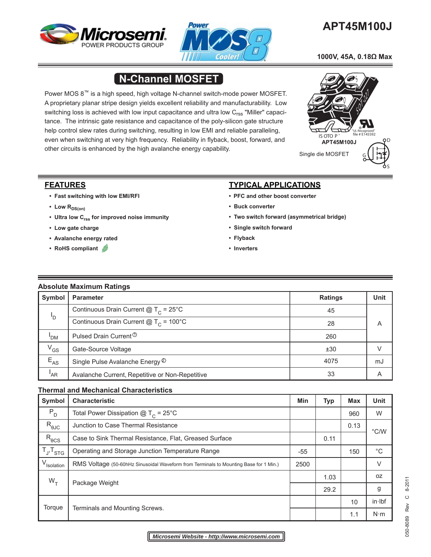



# **APT45M100J**

 **1000V, 45A, 0.18Ω Max**

## **N-Channel MOSFET**

Power MOS 8™ is a high speed, high voltage N-channel switch-mode power MOSFET. A proprietary planar stripe design yields excellent reliability and manufacturability. Low switching loss is achieved with low input capacitance and ultra low  $C_{\rm rss}$  "Miller" capacitance. The intrinsic gate resistance and capacitance of the poly-silicon gate structure help control slew rates during switching, resulting in low EMI and reliable paralleling, even when switching at very high frequency. Reliability in flyback, boost, forward, and other circuits is enhanced by the high avalanche energy capability.



### **FEATURES**

- **Fast switching with low EMI/RFI**
- Low R<sub>DS(on)</sub>
- **Ultra low C<sub>rss</sub> for improved noise immunity**
- **Low gate charge**
- **Avalanche energy rated**
- **RoHS compliant**

## **TYPICAL APPLICATIONS**

- **PFC and other boost converter**
- **Buck converter**
- **Two switch forward (asymmetrical bridge)**
- **Single switch forward**
- **Flyback**
- **Inverters**

#### **Absolute Maximum Ratings**

| Symbol                    | <b>Parameter</b>                                | <b>Ratings</b> | Unit |
|---------------------------|-------------------------------------------------|----------------|------|
| $\mathsf{I}_{\mathsf{D}}$ | Continuous Drain Current $@T_c = 25°C$          | 45             |      |
|                           | Continuous Drain Current $@T_c = 100°C$         | 28             | A    |
| 'DM                       | Pulsed Drain Current <sup>1</sup>               | 260            |      |
| $V_{GS}$                  | Gate-Source Voltage                             | ±30            |      |
| $E_{AS}$                  | Single Pulse Avalanche Energy ©                 | 4075           | mJ   |
| 'AR                       | Avalanche Current, Repetitive or Non-Repetitive | 33             | A    |

#### **Thermal and Mechanical Characteristics**

| <b>Symbol</b>          | <b>Characteristic</b>                                                                 | <b>Min</b> | <b>Typ</b> | <b>Max</b> | <b>Unit</b>   |
|------------------------|---------------------------------------------------------------------------------------|------------|------------|------------|---------------|
| $P_D$                  | Total Power Dissipation $@T_c = 25°C$                                                 |            |            | 960        | W             |
| $R_{\theta$ JC         | Junction to Case Thermal Resistance                                                   |            |            | 0.13       | $\degree$ C/W |
| $R_{\theta CS}$        | Case to Sink Thermal Resistance, Flat, Greased Surface                                |            | 0.11       |            |               |
| $T_{J}$ , $T_{STG}$    | Operating and Storage Junction Temperature Range                                      | -55        |            | 150        | $^{\circ}C$   |
| V <sub>Isolation</sub> | RMS Voltage (50-60hHz Sinusoidal Waveform from Terminals to Mounting Base for 1 Min.) |            |            |            | $\vee$        |
| $W_{T}$                |                                                                                       |            | 1.03       |            | 0Z            |
|                        | Package Weight                                                                        |            | 29.2       |            | g             |
| Torque                 | Terminals and Mounting Screws.                                                        |            |            | 10         | in·lbf        |
|                        |                                                                                       |            |            | 1.1        | $N \cdot m$   |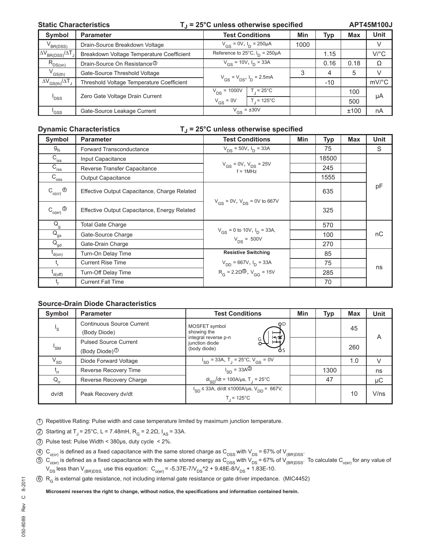#### Static Characteristics **T**<sub>J</sub> = 25°C unless otherwise specified

**APT45M100J**

| <b>Symbol</b>                                         | <b>Parameter</b>                          | <b>Test Conditions</b>               |                    | Min  | Typ   | <b>Max</b> | Unit                  |
|-------------------------------------------------------|-------------------------------------------|--------------------------------------|--------------------|------|-------|------------|-----------------------|
| $V_{BR(DSS)}$                                         | Drain-Source Breakdown Voltage            | $V_{GS} = 0V$ , $I_D = 250 \mu A$    |                    | 1000 |       |            | V                     |
| $\Delta V_{BR(DSS)}/\Delta T_J$                       | Breakdown Voltage Temperature Coefficient | Reference to 25°C, $I_D = 250 \mu A$ |                    |      | 1.15  |            | $V$ /°C               |
| $R_{DS(on)}$                                          | Drain-Source On Resistance <sup>3</sup>   | $V_{GS}$ = 10V, $I_D$ = 33A          |                    |      | 0.16  | 0.18       | Ω                     |
| $\mathsf{V}_{\mathsf{GS}(\mathsf{th})}$               | Gate-Source Threshold Voltage             | $V_{GS} = V_{DS}$ , $I_D = 2.5mA$    |                    | 3    | 4     | 5          | V                     |
| $\Delta V$ <sub>GS(th)</sub> $/\Delta T$ <sub>J</sub> | Threshold Voltage Temperature Coefficient |                                      |                    |      | $-10$ |            | $mV$ <sup>o</sup> $C$ |
|                                                       | Zero Gate Voltage Drain Current           | $V_{DS}$ = 1000V                     | $T = 25^{\circ}$ C |      |       | 100        | μA                    |
| 'DSS                                                  |                                           | $V_{GS} = 0V$                        | $T = 125^{\circ}C$ |      |       | 500        |                       |
| 'GSS                                                  | Gate-Source Leakage Current               | $V_{GS}$ = $\pm 30V$                 |                    |      |       | ±100       | nA                    |

#### **Dynamic Characteristics TJ = 25°C unless otherwise specified**

| Symbol                      | <b>Parameter</b>                             | <b>Test Conditions</b>                               | <b>Min</b> | <b>Typ</b> | Max | <b>Unit</b> |
|-----------------------------|----------------------------------------------|------------------------------------------------------|------------|------------|-----|-------------|
| $g_{\rm fs}$                | Forward Transconductance                     | $V_{DS}$ = 50V, $I_{D}$ = 33A                        |            | 75         |     | S           |
| $C_{\text{iss}}$            | Input Capacitance                            |                                                      |            | 18500      |     |             |
| $C_{\text{rss}}$            | Reverse Transfer Capacitance                 | $V_{GS} = 0V$ , $V_{DS} = 25V$<br>$f = 1$ MHz        |            | 245        |     |             |
| $C_{\overline{\text{oss}}}$ | <b>Output Capacitance</b>                    |                                                      |            | 1555       |     |             |
| $C_{o(cr)}$ $\circledcirc$  | Effective Output Capacitance, Charge Related |                                                      |            | 635        |     | pF          |
| $C_{o(er)}$ $\circledcirc$  | Effective Output Capacitance, Energy Related | $V_{GS}$ = 0V, $V_{DS}$ = 0V to 667V                 |            | 325        |     |             |
| $\mathsf{Q}_{\mathsf{g}}$   | <b>Total Gate Charge</b>                     |                                                      |            | 570        |     |             |
| $\overline{Q}_{gs}$         | Gate-Source Charge                           | $V_{GS}$ = 0 to 10V, $I_D$ = 33A,<br>$V_{DS} = 500V$ |            | 100        |     | nC          |
| $\overline{Q}_{gd}$         | Gate-Drain Charge                            |                                                      |            | 270        |     |             |
| $I_{d(0n)}$                 | Turn-On Delay Time                           | <b>Resistive Switching</b>                           |            | 85         |     |             |
|                             | <b>Current Rise Time</b>                     | $V_{DD}$ = 667V, $I_D$ = 33A                         |            | 75         |     | ns          |
| l<br>d(off)                 | Turn-Off Delay Time                          | $R_G = 2.20\textcircled{\ }0, V_{GG} = 15V$          |            | 285        |     |             |
|                             | <b>Current Fall Time</b>                     |                                                      |            | 70         |     |             |

#### **Source-Drain Diode Characteristics**

| Symbol       | <b>Parameter</b>                                          | <b>Test Conditions</b>                                                             | <b>Min</b> | Typ  | <b>Max</b> | <b>Unit</b> |
|--------------|-----------------------------------------------------------|------------------------------------------------------------------------------------|------------|------|------------|-------------|
| 's           | <b>Continuous Source Current</b><br>(Body Diode)          | <b>OD</b><br>MOSFET symbol<br>showing the                                          |            |      | 45         |             |
| 'sm          | <b>Pulsed Source Current</b><br>(Body Diode) <sup>①</sup> | integral reverse p-n<br>ю≮<br>junction diode<br>(body diode)<br>Ò٢                 |            |      | 260        | A           |
| $\rm V_{SD}$ | Diode Forward Voltage                                     | $I_{SD}$ = 33A, T <sub>J</sub> = 25°C, V <sub>GS</sub> = 0V                        |            |      | 1.0        |             |
|              | Reverse Recovery Time                                     | $I_{SD} = 33A^{\circledR}$                                                         |            | 1300 |            | ns          |
| $Q_{rr}$     | Reverse Recovery Charge                                   | $di_{SD}/dt = 100A/\mu s$ , T <sub>1</sub> = 25°C                                  |            | 47   |            | μC          |
| dv/dt        | Peak Recovery dv/dt                                       | $I_{SD}$ ≤ 33A, di/dt ≤1000A/µs, V <sub>DD</sub> = 667V,<br>$T_{1} = 125^{\circ}C$ |            |      | 10         | V/ns        |

1 Repetitive Rating: Pulse width and case temperature limited by maximum junction temperature.

2 Starting at T<sub>J</sub> = 25°C, L = 7.48mH, R<sub>G</sub> = 2.2Ω, I<sub>AS</sub> = 33A.

- 3 Pulse test: Pulse Width < 380μs, duty cycle < 2%.
- $4)$  C<sub>o(cr)</sub> is defined as a fixed capacitance with the same stored charge as C<sub>OSS</sub> with V<sub>DS</sub> = 67% of V<sub>(BR)DSS</sub>.
- $5)$   $\rm C_{_{o(er)}}$  is defined as a fixed capacitance with the same stored energy as  $\rm C_{_{OSS}}$  with V<sub>DS</sub> = 67% of V<sub>(BR)DSS</sub>. To calculate C<sub>o(er)</sub> for any value of  $V_{DS}$  less than  $V_{(BR)DSS}$  use this equation:  $C_{o(er)}$  = -5.37E-7/V<sub>DS</sub><sup>A</sup>2 + 9.48E-8/V<sub>DS</sub> + 1.83E-10.
- 6 R<sub>G</sub> is external gate resistance, not including internal gate resistance or gate driver impedance. (MIC4452)

**Microsemi reserves the right to change, without notice, the specifi cations and information contained herein.**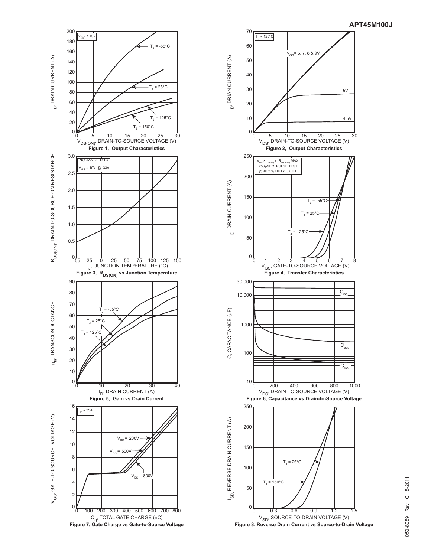